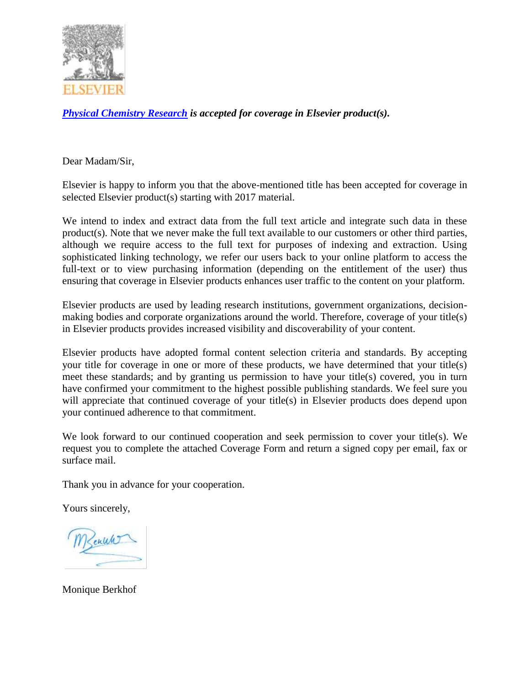

*[Physical Chemistry Research](http://www.physchemres.org/) is accepted for coverage in Elsevier product(s).*

Dear Madam/Sir,

Elsevier is happy to inform you that the above-mentioned title has been accepted for coverage in selected Elsevier product(s) starting with 2017 material.

We intend to index and extract data from the full text article and integrate such data in these product(s). Note that we never make the full text available to our customers or other third parties, although we require access to the full text for purposes of indexing and extraction. Using sophisticated linking technology, we refer our users back to your online platform to access the full-text or to view purchasing information (depending on the entitlement of the user) thus ensuring that coverage in Elsevier products enhances user traffic to the content on your platform.

Elsevier products are used by leading research institutions, government organizations, decisionmaking bodies and corporate organizations around the world. Therefore, coverage of your title(s) in Elsevier products provides increased visibility and discoverability of your content.

Elsevier products have adopted formal content selection criteria and standards. By accepting your title for coverage in one or more of these products, we have determined that your title(s) meet these standards; and by granting us permission to have your title(s) covered, you in turn have confirmed your commitment to the highest possible publishing standards. We feel sure you will appreciate that continued coverage of your title(s) in Elsevier products does depend upon your continued adherence to that commitment.

We look forward to our continued cooperation and seek permission to cover your title(s). We request you to complete the attached Coverage Form and return a signed copy per email, fax or surface mail.

Thank you in advance for your cooperation.

Yours sincerely,

Sentite

Monique Berkhof